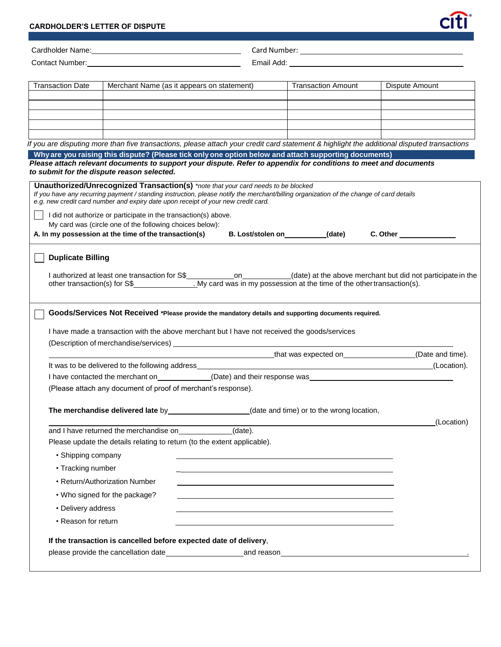| If you are disputing more than five transactions, please attach your credit card statement & highlight the additional disputed transactions                                                                                  |                                                                                                                                                                                                                                |  |                             |
|------------------------------------------------------------------------------------------------------------------------------------------------------------------------------------------------------------------------------|--------------------------------------------------------------------------------------------------------------------------------------------------------------------------------------------------------------------------------|--|-----------------------------|
| Why are you raising this dispute? (Please tick only one option below and attach supporting documents)                                                                                                                        |                                                                                                                                                                                                                                |  |                             |
| Please attach relevant documents to support your dispute. Refer to appendix for conditions to meet and documents                                                                                                             |                                                                                                                                                                                                                                |  |                             |
| to submit for the dispute reason selected.                                                                                                                                                                                   |                                                                                                                                                                                                                                |  |                             |
| Unauthorized/Unrecognized Transaction(s) *note that your card needs to be blocked<br>If you have any recurring payment / standing instruction, please notify the merchant/billing organization of the change of card details |                                                                                                                                                                                                                                |  |                             |
| e.g. new credit card number and expiry date upon receipt of your new credit card.                                                                                                                                            |                                                                                                                                                                                                                                |  |                             |
| I did not authorize or participate in the transaction(s) above.                                                                                                                                                              |                                                                                                                                                                                                                                |  |                             |
| My card was (circle one of the following choices below):                                                                                                                                                                     |                                                                                                                                                                                                                                |  |                             |
| A. In my possession at the time of the transaction(s)                                                                                                                                                                        | B. Lost/stolen on ____________(date)                                                                                                                                                                                           |  | C. Other <b>C. Property</b> |
| <b>Duplicate Billing</b>                                                                                                                                                                                                     |                                                                                                                                                                                                                                |  |                             |
|                                                                                                                                                                                                                              |                                                                                                                                                                                                                                |  |                             |
| I authorized at least one transaction for S\$____________________________(date) at the above merchant but did not participate in the                                                                                         |                                                                                                                                                                                                                                |  |                             |
|                                                                                                                                                                                                                              |                                                                                                                                                                                                                                |  |                             |
|                                                                                                                                                                                                                              |                                                                                                                                                                                                                                |  |                             |
| Goods/Services Not Received *Please provide the mandatory details and supporting documents required.                                                                                                                         |                                                                                                                                                                                                                                |  |                             |
| I have made a transaction with the above merchant but I have not received the goods/services                                                                                                                                 |                                                                                                                                                                                                                                |  |                             |
|                                                                                                                                                                                                                              |                                                                                                                                                                                                                                |  |                             |
|                                                                                                                                                                                                                              | that was expected on the state of the contract of the state of the state of the state of the state of the state of the state of the state of the state of the state of the state of the state of the state of the state of the |  |                             |
|                                                                                                                                                                                                                              |                                                                                                                                                                                                                                |  | (Location).                 |
|                                                                                                                                                                                                                              |                                                                                                                                                                                                                                |  |                             |
| (Please attach any document of proof of merchant's response).                                                                                                                                                                |                                                                                                                                                                                                                                |  |                             |
| The merchandise delivered late by _____________________(date and time) or to the wrong location,                                                                                                                             |                                                                                                                                                                                                                                |  |                             |
|                                                                                                                                                                                                                              |                                                                                                                                                                                                                                |  |                             |
|                                                                                                                                                                                                                              |                                                                                                                                                                                                                                |  |                             |
| and I have returned the merchandise on______________(date).                                                                                                                                                                  |                                                                                                                                                                                                                                |  | (Location)                  |
| Please update the details relating to return (to the extent applicable).                                                                                                                                                     |                                                                                                                                                                                                                                |  |                             |
| • Shipping company                                                                                                                                                                                                           |                                                                                                                                                                                                                                |  |                             |
| • Tracking number                                                                                                                                                                                                            |                                                                                                                                                                                                                                |  |                             |
| • Return/Authorization Number                                                                                                                                                                                                |                                                                                                                                                                                                                                |  |                             |
| • Who signed for the package?                                                                                                                                                                                                |                                                                                                                                                                                                                                |  |                             |
| • Delivery address                                                                                                                                                                                                           |                                                                                                                                                                                                                                |  |                             |
| • Reason for return                                                                                                                                                                                                          |                                                                                                                                                                                                                                |  |                             |
|                                                                                                                                                                                                                              |                                                                                                                                                                                                                                |  |                             |
| If the transaction is cancelled before expected date of delivery,                                                                                                                                                            |                                                                                                                                                                                                                                |  |                             |

| <b>CARDHOLDER'S LETTER OF DISPUTE</b> |  |  |
|---------------------------------------|--|--|
|                                       |  |  |

Contact Number: Email Add:

Transaction Date | Merchant Name (as it appears on statement) | Transaction Amount | Dispute Amount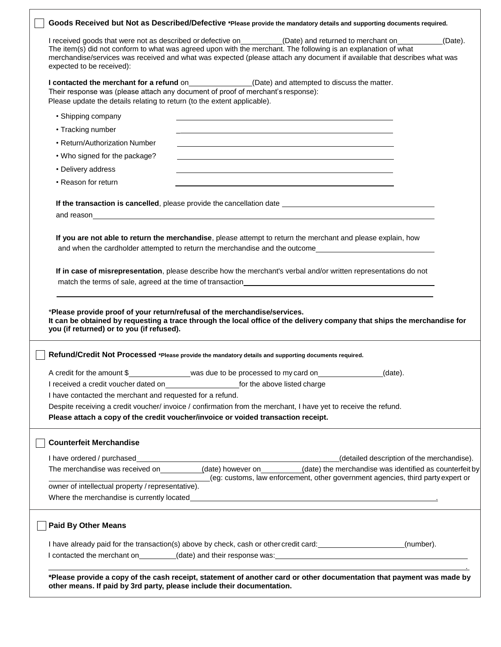| Goods Received but Not as Described/Defective *Please provide the mandatory details and supporting documents required.                                                                                                                                                                                                                                                                                                                                                                                                                                                                                                                                                                                                                                                                                                                                                                                                                                                                                                                                                                  |  |  |  |  |  |
|-----------------------------------------------------------------------------------------------------------------------------------------------------------------------------------------------------------------------------------------------------------------------------------------------------------------------------------------------------------------------------------------------------------------------------------------------------------------------------------------------------------------------------------------------------------------------------------------------------------------------------------------------------------------------------------------------------------------------------------------------------------------------------------------------------------------------------------------------------------------------------------------------------------------------------------------------------------------------------------------------------------------------------------------------------------------------------------------|--|--|--|--|--|
| I received goods that were not as described or defective on___________(Date) and returned to merchant on__________(Date).<br>The item(s) did not conform to what was agreed upon with the merchant. The following is an explanation of what<br>merchandise/services was received and what was expected (please attach any document if available that describes what was<br>expected to be received):                                                                                                                                                                                                                                                                                                                                                                                                                                                                                                                                                                                                                                                                                    |  |  |  |  |  |
| I contacted the merchant for a refund on (Date) and attempted to discuss the matter.<br>Their response was (please attach any document of proof of merchant's response):<br>Please update the details relating to return (to the extent applicable).                                                                                                                                                                                                                                                                                                                                                                                                                                                                                                                                                                                                                                                                                                                                                                                                                                    |  |  |  |  |  |
| • Shipping company                                                                                                                                                                                                                                                                                                                                                                                                                                                                                                                                                                                                                                                                                                                                                                                                                                                                                                                                                                                                                                                                      |  |  |  |  |  |
| • Tracking number                                                                                                                                                                                                                                                                                                                                                                                                                                                                                                                                                                                                                                                                                                                                                                                                                                                                                                                                                                                                                                                                       |  |  |  |  |  |
| • Return/Authorization Number<br><u> 1989 - Johann Stoff, deutscher Stoff, der Stoff, der Stoff, der Stoff, der Stoff, der Stoff, der Stoff, der S</u>                                                                                                                                                                                                                                                                                                                                                                                                                                                                                                                                                                                                                                                                                                                                                                                                                                                                                                                                  |  |  |  |  |  |
| • Who signed for the package?                                                                                                                                                                                                                                                                                                                                                                                                                                                                                                                                                                                                                                                                                                                                                                                                                                                                                                                                                                                                                                                           |  |  |  |  |  |
| • Delivery address<br>and the control of the control of the control of the control of the control of the control of the control of the                                                                                                                                                                                                                                                                                                                                                                                                                                                                                                                                                                                                                                                                                                                                                                                                                                                                                                                                                  |  |  |  |  |  |
| • Reason for return                                                                                                                                                                                                                                                                                                                                                                                                                                                                                                                                                                                                                                                                                                                                                                                                                                                                                                                                                                                                                                                                     |  |  |  |  |  |
|                                                                                                                                                                                                                                                                                                                                                                                                                                                                                                                                                                                                                                                                                                                                                                                                                                                                                                                                                                                                                                                                                         |  |  |  |  |  |
| and reason <b>the contract of the contract of the contract of the contract of the contract of the contract of the contract of the contract of the contract of the contract of the contract of the contract of the contract of th</b>                                                                                                                                                                                                                                                                                                                                                                                                                                                                                                                                                                                                                                                                                                                                                                                                                                                    |  |  |  |  |  |
| If you are not able to return the merchandise, please attempt to return the merchant and please explain, how<br>and when the cardholder attempted to return the merchandise and the outcome<br>If in case of misrepresentation, please describe how the merchant's verbal and/or written representations do not<br>*Please provide proof of your return/refusal of the merchandise/services.<br>It can be obtained by requesting a trace through the local office of the delivery company that ships the merchandise for<br>you (if returned) or to you (if refused).<br>Refund/Credit Not Processed *Please provide the mandatory details and supporting documents required.<br>A credit for the amount \$<br>(date).<br>I received a credit voucher dated on_________________________for the above listed charge<br>I have contacted the merchant and requested for a refund.<br>Despite receiving a credit voucher/ invoice / confirmation from the merchant, I have yet to receive the refund.<br>Please attach a copy of the credit voucher/invoice or voided transaction receipt. |  |  |  |  |  |
| <b>Counterfeit Merchandise</b>                                                                                                                                                                                                                                                                                                                                                                                                                                                                                                                                                                                                                                                                                                                                                                                                                                                                                                                                                                                                                                                          |  |  |  |  |  |
| I have ordered / purchased<br><u> 1989 - Johann Barn, mars ann an t-Amhain Aonaichte ann an t-Aonaichte ann an t-Aonaichte ann an t-Aonaichte a</u><br>(detailed description of the merchandise).                                                                                                                                                                                                                                                                                                                                                                                                                                                                                                                                                                                                                                                                                                                                                                                                                                                                                       |  |  |  |  |  |
| The merchandise was received on __________(date) however on _________(date) the merchandise was identified as counterfeit by<br>(eg: customs, law enforcement, other government agencies, third party expert or                                                                                                                                                                                                                                                                                                                                                                                                                                                                                                                                                                                                                                                                                                                                                                                                                                                                         |  |  |  |  |  |
| owner of intellectual property / representative).                                                                                                                                                                                                                                                                                                                                                                                                                                                                                                                                                                                                                                                                                                                                                                                                                                                                                                                                                                                                                                       |  |  |  |  |  |
|                                                                                                                                                                                                                                                                                                                                                                                                                                                                                                                                                                                                                                                                                                                                                                                                                                                                                                                                                                                                                                                                                         |  |  |  |  |  |
| <b>Paid By Other Means</b>                                                                                                                                                                                                                                                                                                                                                                                                                                                                                                                                                                                                                                                                                                                                                                                                                                                                                                                                                                                                                                                              |  |  |  |  |  |
| I have already paid for the transaction(s) above by check, cash or other credit card: ____________________(number).                                                                                                                                                                                                                                                                                                                                                                                                                                                                                                                                                                                                                                                                                                                                                                                                                                                                                                                                                                     |  |  |  |  |  |
|                                                                                                                                                                                                                                                                                                                                                                                                                                                                                                                                                                                                                                                                                                                                                                                                                                                                                                                                                                                                                                                                                         |  |  |  |  |  |
| *Please provide a copy of the cash receipt, statement of another card or other documentation that payment was made by<br>other means. If paid by 3rd party, please include their documentation.                                                                                                                                                                                                                                                                                                                                                                                                                                                                                                                                                                                                                                                                                                                                                                                                                                                                                         |  |  |  |  |  |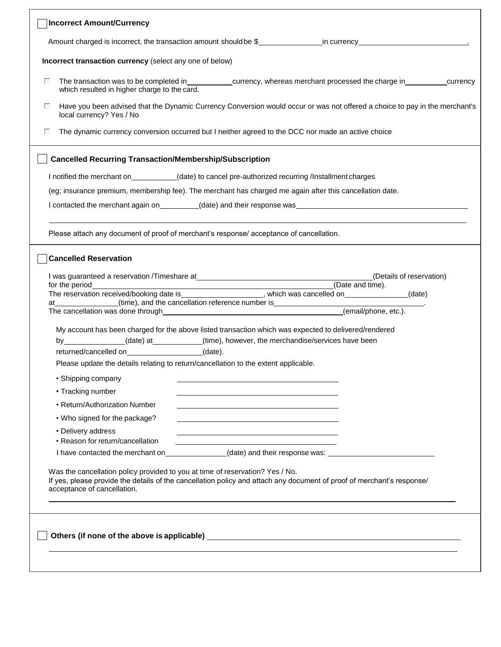| <b>Incorrect Amount/Currency</b>                                                                                                                                                                                                                                                                                                                                                                                                                                                                                                                    |  |  |  |
|-----------------------------------------------------------------------------------------------------------------------------------------------------------------------------------------------------------------------------------------------------------------------------------------------------------------------------------------------------------------------------------------------------------------------------------------------------------------------------------------------------------------------------------------------------|--|--|--|
|                                                                                                                                                                                                                                                                                                                                                                                                                                                                                                                                                     |  |  |  |
| Incorrect transaction currency (select any one of below)                                                                                                                                                                                                                                                                                                                                                                                                                                                                                            |  |  |  |
| п.<br>The transaction was to be completed in______________currency, whereas merchant processed the charge in__________currency<br>which resulted in higher charge to the card.                                                                                                                                                                                                                                                                                                                                                                      |  |  |  |
| Have you been advised that the Dynamic Currency Conversion would occur or was not offered a choice to pay in the merchant's<br>П.<br>local currency? Yes / No                                                                                                                                                                                                                                                                                                                                                                                       |  |  |  |
| 口<br>The dynamic currency conversion occurred but I neither agreed to the DCC nor made an active choice                                                                                                                                                                                                                                                                                                                                                                                                                                             |  |  |  |
| <b>Cancelled Recurring Transaction/Membership/Subscription</b>                                                                                                                                                                                                                                                                                                                                                                                                                                                                                      |  |  |  |
| I notified the merchant on___________(date) to cancel pre-authorized recurring /Installment charges                                                                                                                                                                                                                                                                                                                                                                                                                                                 |  |  |  |
| (eg; insurance premium, membership fee). The merchant has charged me again after this cancellation date.                                                                                                                                                                                                                                                                                                                                                                                                                                            |  |  |  |
|                                                                                                                                                                                                                                                                                                                                                                                                                                                                                                                                                     |  |  |  |
| Please attach any document of proof of merchant's response/ acceptance of cancellation.                                                                                                                                                                                                                                                                                                                                                                                                                                                             |  |  |  |
| <b>Cancelled Reservation</b><br>My account has been charged for the above listed transaction which was expected to delivered/rendered<br>by______________(date) at_________(time), however, the merchandise/services have been<br>returned/cancelled on ______________________(date).<br>Please update the details relating to return/cancellation to the extent applicable.<br>• Shipping company<br>• Tracking number<br>• Return/Authorization Number<br>• Who signed for the package?<br>• Delivery address<br>• Reason for return/cancellation |  |  |  |
| I have contacted the merchant on________________(date) and their response was: _______________________________                                                                                                                                                                                                                                                                                                                                                                                                                                      |  |  |  |
| Was the cancellation policy provided to you at time of reservation? Yes / No.<br>If yes, please provide the details of the cancellation policy and attach any document of proof of merchant's response/<br>acceptance of cancellation.                                                                                                                                                                                                                                                                                                              |  |  |  |
| Others (if none of the above is applicable) <b>DETER IN A SET ASSESS</b> of the state of the state of the state of the state of the state of the state of the state of the state of the state of the state of the state of the stat                                                                                                                                                                                                                                                                                                                 |  |  |  |
|                                                                                                                                                                                                                                                                                                                                                                                                                                                                                                                                                     |  |  |  |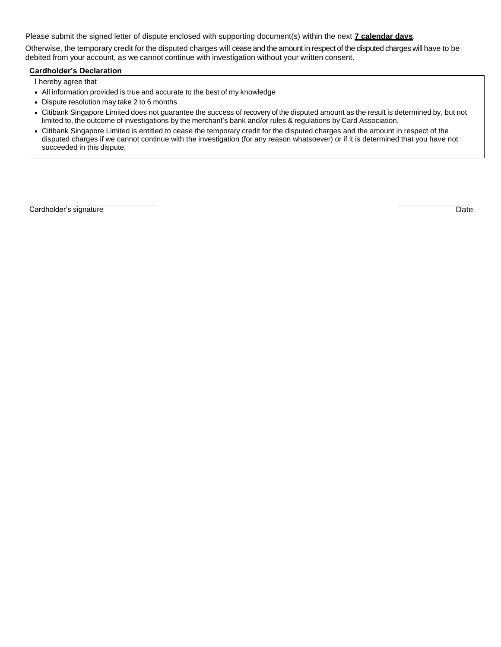Please submit the signed letter of dispute enclosed with supporting document(s) within the next **7 calendar days**.

Otherwise, the temporary credit for the disputed charges will cease and the amount in respect of the disputed charges will have to be debited from your account, as we cannot continue with investigation without your written consent.

## **Cardholder's Declaration**

I hereby agree that

- All information provided is true and accurate to the best of my knowledge
- Dispute resolution may take 2 to 6 months
- Citibank Singapore Limited does not guarantee the success of recovery of the disputed amount as the result is determined by, but not limited to, the outcome of investigations by the merchant's bank and/or rules & regulations by Card Association.
- Citibank Singapore Limited is entitled to cease the temporary credit for the disputed charges and the amount in respect of the disputed charges if we cannot continue with the investigation (for any reason whatsoever) or if it is determined that you have not succeeded in this dispute.

Cardholder's signature Date Date of the Cardholder's signature Date Date of the Cardholder's signature Date Date of the Date of the Cardholder's signature Date of the Cardholder's signature Date of the Cardholder's signatu